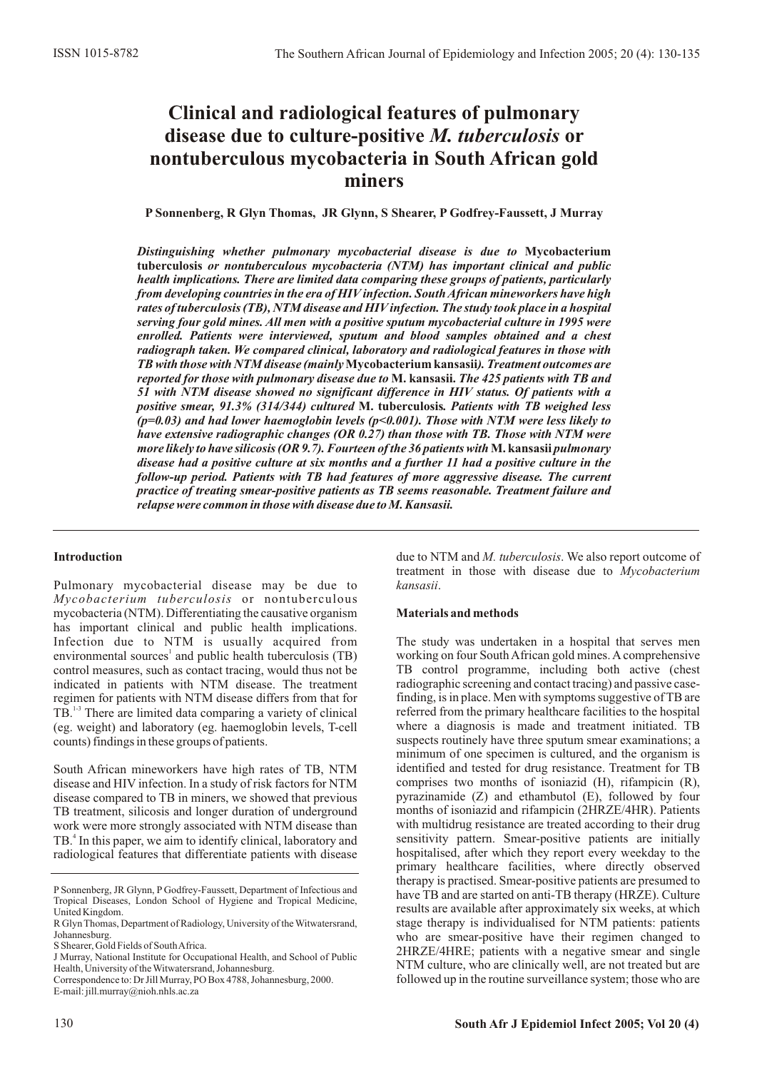# **Clinical and radiological features of pulmonary disease due to culture-positive** *M. tuberculosis* **or nontuberculous mycobacteria in South African gold miners**

**P Sonnenberg, R Glyn Thomas, JR Glynn, S Shearer, P Godfrey-Faussett, J Murray**

*Distinguishing whether pulmonary mycobacterial disease is due to* **Mycobacterium tuberculosis** *or nontuberculous mycobacteria (NTM) has important clinical and public health implications. There are limited data comparing these groups of patients, particularly from developing countries in the era of HIV infection. South African mineworkers have high* rates of tuberculosis (TB), NTM disease and HIV infection. The study took place in a hospital *serving four gold mines. All men with a positive sputum mycobacterial culture in 1995 were enrolled. Patients were interviewed, sputum and blood samples obtained and a chest radiograph taken. We compared clinical, laboratory and radiological features in those with TB with those with NTM disease (mainly* **Mycobacterium kansasii***). Treatment outcomes are reported for those with pulmonary disease due to* **M. kansasii.** *The 425 patients with TB and 51 with NTM disease showed no significant difference in HIV status. Of patients with a positive smear, 91.3% (314/344) cultured* **M. tuberculosis***. Patients with TB weighed less (p=0.03) and had lower haemoglobin levels (p<0.001). Those with NTM were less likely to have extensive radiographic changes (OR 0.27) than those with TB. Those with NTM were more likely to have silicosis (OR 9.7). Fourteen of the 36 patients with* **M. kansasii** *pulmonary disease had a positive culture at six months and a further 11 had a positive culture in the follow-up period. Patients with TB had features of more aggressive disease. The current practice of treating smear-positive patients as TB seems reasonable. Treatment failure and relapse were common in those with disease due to M. Kansasii.*

## **Introduction**

Pulmonary mycobacterial disease may be due to *Mycobacterium tuberculosis* or nontuberculous mycobacteria (NTM). Differentiating the causative organism has important clinical and public health implications. Infection due to NTM is usually acquired from environmental sources<sup>1</sup> and public health tuberculosis (TB) control measures, such as contact tracing, would thus not be indicated in patients with NTM disease. The treatment regimen for patients with NTM disease differs from that for TB.<sup>13</sup> There are limited data comparing a variety of clinical (eg. weight) and laboratory (eg. haemoglobin levels, T-cell counts) findings in these groups of patients.

South African mineworkers have high rates of TB, NTM disease and HIV infection. In a study of risk factors for NTM disease compared to TB in miners, we showed that previous TB treatment, silicosis and longer duration of underground work were more strongly associated with NTM disease than TB.<sup>4</sup> In this paper, we aim to identify clinical, laboratory and radiological features that differentiate patients with disease

due to NTM and *M. tuberculosis*. We also report outcome of treatment in those with disease due to *Mycobacterium kansasii*.

## **Materials and methods**

The study was undertaken in a hospital that serves men working on four South African gold mines. Acomprehensive TB control programme, including both active (chest radiographic screening and contact tracing) and passive casefinding, is in place. Men with symptoms suggestive of TB are referred from the primary healthcare facilities to the hospital where a diagnosis is made and treatment initiated. TB suspects routinely have three sputum smear examinations; a minimum of one specimen is cultured, and the organism is identified and tested for drug resistance. Treatment for TB comprises two months of isoniazid (H), rifampicin (R), pyrazinamide (Z) and ethambutol (E), followed by four months of isoniazid and rifampicin (2HRZE/4HR). Patients with multidrug resistance are treated according to their drug sensitivity pattern. Smear-positive patients are initially hospitalised, after which they report every weekday to the primary healthcare facilities, where directly observed therapy is practised. Smear-positive patients are presumed to have TB and are started on anti-TB therapy (HRZE). Culture results are available after approximately six weeks, at which stage therapy is individualised for NTM patients: patients who are smear-positive have their regimen changed to 2HRZE/4HRE; patients with a negative smear and single NTM culture, who are clinically well, are not treated but are followed up in the routine surveillance system; those who are

P Sonnenberg, JR Glynn, P Godfrey-Faussett, Department of Infectious and Tropical Diseases, London School of Hygiene and Tropical Medicine, United Kingdom.

R Glyn Thomas, Department of Radiology, University of the Witwatersrand, Johannesburg.

S Shearer, Gold Fields of South Africa.

J Murray, National Institute for Occupational Health, and School of Public Health, University of the Witwatersrand, Johannesburg.

Correspondence to: Dr Jill Murray, PO Box 4788, Johannesburg, 2000. E-mail: jill.murray@nioh.nhls.ac.za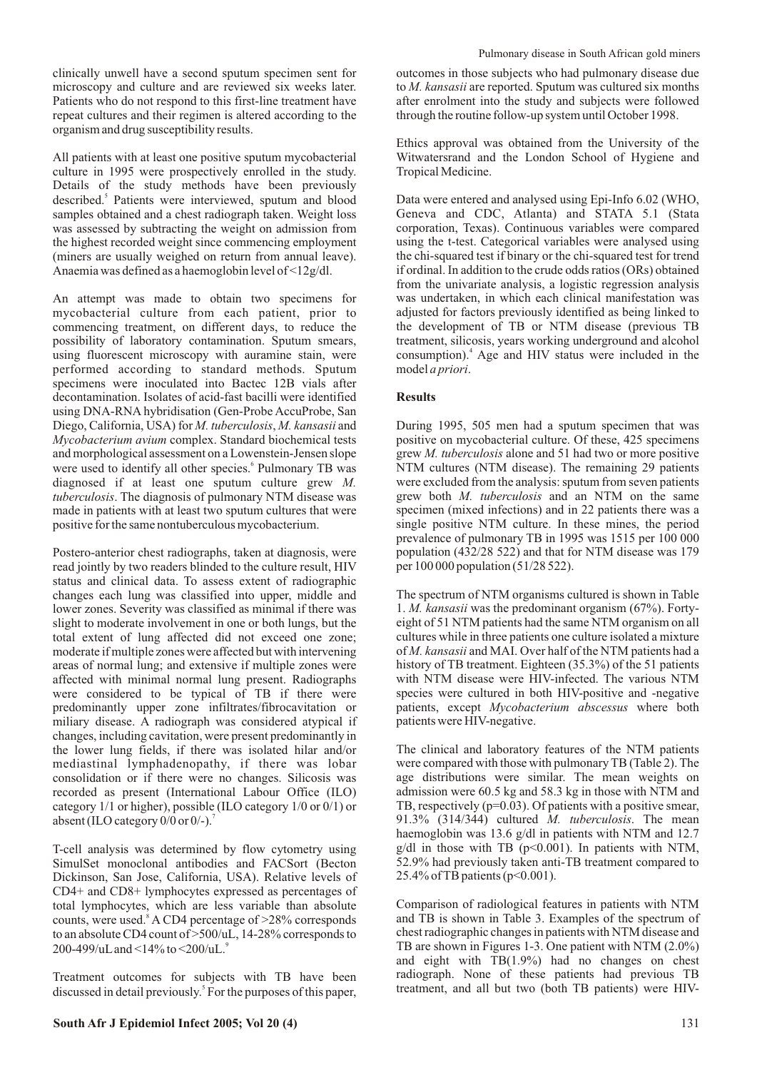clinically unwell have a second sputum specimen sent for microscopy and culture and are reviewed six weeks later. Patients who do not respond to this first-line treatment have repeat cultures and their regimen is altered according to the organism and drug susceptibility results.

All patients with at least one positive sputum mycobacterial culture in 1995 were prospectively enrolled in the study. Details of the study methods have been previously described.<sup>5</sup> Patients were interviewed, sputum and blood samples obtained and a chest radiograph taken. Weight loss was assessed by subtracting the weight on admission from the highest recorded weight since commencing employment (miners are usually weighed on return from annual leave). Anaemia was defined as a haemoglobin level of <12g/dl.

An attempt was made to obtain two specimens for mycobacterial culture from each patient, prior to commencing treatment, on different days, to reduce the possibility of laboratory contamination. Sputum smears, using fluorescent microscopy with auramine stain, were performed according to standard methods. Sputum specimens were inoculated into Bactec 12B vials after decontamination. Isolates of acid-fast bacilli were identified using DNA-RNA hybridisation (Gen-Probe AccuProbe, San Diego, California, USA) for *M. tuberculosis*, *M. kansasii* and *Mycobacterium avium* complex. Standard biochemical tests and morphological assessment on a Lowenstein-Jensen slope were used to identify all other species.<sup>6</sup> Pulmonary TB was diagnosed if at least one sputum culture grew *M. tuberculosis*. The diagnosis of pulmonary NTM disease was made in patients with at least two sputum cultures that were positive for the same nontuberculous mycobacterium.

Postero-anterior chest radiographs, taken at diagnosis, were read jointly by two readers blinded to the culture result, HIV status and clinical data. To assess extent of radiographic changes each lung was classified into upper, middle and lower zones. Severity was classified as minimal if there was slight to moderate involvement in one or both lungs, but the total extent of lung affected did not exceed one zone; moderate if multiple zones were affected but with intervening areas of normal lung; and extensive if multiple zones were affected with minimal normal lung present. Radiographs were considered to be typical of TB if there were predominantly upper zone infiltrates/fibrocavitation or miliary disease. A radiograph was considered atypical if changes, including cavitation, were present predominantly in the lower lung fields, if there was isolated hilar and/or mediastinal lymphadenopathy, if there was lobar consolidation or if there were no changes. Silicosis was recorded as present (International Labour Office (ILO) category 1/1 or higher), possible (ILO category 1/0 or 0/1) or absent (ILO category  $0/0$  or  $0/-$ ).<sup>7</sup>

T-cell analysis was determined by flow cytometry using SimulSet monoclonal antibodies and FACSort (Becton Dickinson, San Jose, California, USA). Relative levels of CD4+ and CD8+ lymphocytes expressed as percentages of total lymphocytes, which are less variable than absolute counts, were used.<sup>8</sup> A CD4 percentage of >28% corresponds to an absolute CD4 count of >500/uL, 14-28% corresponds to 9 200-499/uLand <14% to <200/uL.

Treatment outcomes for subjects with TB have been discussed in detail previously.<sup>5</sup> For the purposes of this paper, outcomes in those subjects who had pulmonary disease due to *M. kansasii* are reported. Sputum was cultured six months after enrolment into the study and subjects were followed through the routine follow-up system until October 1998.

Ethics approval was obtained from the University of the Witwatersrand and the London School of Hygiene and Tropical Medicine.

Data were entered and analysed using Epi-Info 6.02 (WHO, Geneva and CDC, Atlanta) and STATA 5.1 (Stata corporation, Texas). Continuous variables were compared using the t-test. Categorical variables were analysed using the chi-squared test if binary or the chi-squared test for trend if ordinal. In addition to the crude odds ratios (ORs) obtained from the univariate analysis, a logistic regression analysis was undertaken, in which each clinical manifestation was adjusted for factors previously identified as being linked to the development of TB or NTM disease (previous TB treatment, silicosis, years working underground and alcohol consumption).<sup>4</sup> Age and HIV status were included in the model *a priori*.

## **Results**

During 1995, 505 men had a sputum specimen that was positive on mycobacterial culture. Of these, 425 specimens grew *M. tuberculosis* alone and 51 had two or more positive NTM cultures (NTM disease). The remaining 29 patients were excluded from the analysis: sputum from seven patients grew both *M. tuberculosis* and an NTM on the same specimen (mixed infections) and in 22 patients there was a single positive NTM culture. In these mines, the period prevalence of pulmonary TB in 1995 was 1515 per 100 000 population (432/28 522) and that for NTM disease was 179 per 100 000 population (51/28 522).

The spectrum of NTM organisms cultured is shown in Table 1. *M. kansasii* was the predominant organism (67%). Fortyeight of 51 NTM patients had the same NTM organism on all cultures while in three patients one culture isolated a mixture of *M. kansasii* and MAI. Over half of the NTM patients had a history of TB treatment. Eighteen (35.3%) of the 51 patients with NTM disease were HIV-infected. The various NTM species were cultured in both HIV-positive and -negative patients, except *Mycobacterium abscessus* where both patients were HIV-negative.

The clinical and laboratory features of the NTM patients were compared with those with pulmonary TB (Table 2). The age distributions were similar. The mean weights on admission were 60.5 kg and 58.3 kg in those with NTM and TB, respectively (p=0.03). Of patients with a positive smear, 91.3% (314/344) cultured *M. tuberculosis*. The mean haemoglobin was 13.6 g/dl in patients with NTM and 12.7  $g/dl$  in those with TB ( $p<0.001$ ). In patients with NTM, 52.9% had previously taken anti-TB treatment compared to 25.4% of TB patients (p<0.001).

Comparison of radiological features in patients with NTM and TB is shown in Table 3. Examples of the spectrum of chest radiographic changes in patients with NTM disease and TB are shown in Figures 1-3. One patient with NTM (2.0%) and eight with  $\text{TB}(1.9\%)$  had no changes on chest radiograph. None of these patients had previous TB treatment, and all but two (both TB patients) were HIV-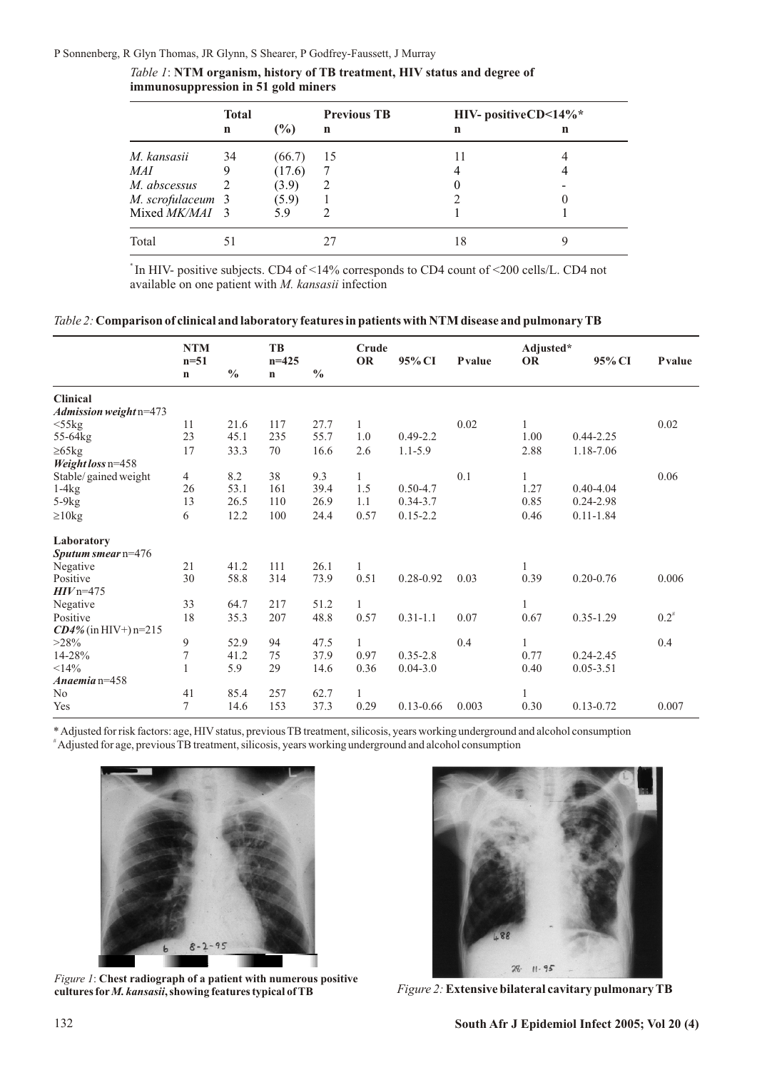P Sonnenberg, R Glyn Thomas, JR Glynn, S Shearer, P Godfrey-Faussett, J Murray

|                   | <b>Total</b> |                | <b>Previous TB</b> | HIV- positiveCD<14%* |   |  |
|-------------------|--------------|----------------|--------------------|----------------------|---|--|
|                   | $\mathbf n$  | $\binom{0}{0}$ | n                  | $\mathbf n$          | n |  |
| M. kansasii       | 34           | (66.7)         | 15                 |                      |   |  |
| MAI               |              | (17.6)         |                    |                      |   |  |
| M. abscessus      |              | (3.9)          |                    |                      |   |  |
| M. scrofulaceum 3 |              | (5.9)          |                    |                      |   |  |
| Mixed MK/MAI 3    |              | 59             |                    |                      |   |  |
| Total             |              |                |                    | 18                   |   |  |

*Table 1*: **NTM organism, history of TB treatment, HIV status and degree of immunosuppression in 51 gold miners**

\* In HIV- positive subjects. CD4 of <14% corresponds to CD4 count of <200 cells/L. CD4 not available on one patient with *M. kansasii* infection

| $Table 2: Comparison of clinical and laboratory features in patients with NTM disease and pulmonary TB$ |  |  |
|---------------------------------------------------------------------------------------------------------|--|--|
|                                                                                                         |  |  |

|                         | <b>NTM</b>     |               | <b>TB</b> |               | Crude        |               |        | Adjusted* |               |           |
|-------------------------|----------------|---------------|-----------|---------------|--------------|---------------|--------|-----------|---------------|-----------|
|                         | $n = 51$       |               | $n = 425$ |               | <b>OR</b>    | 95% CI        | Pvalue | <b>OR</b> | 95% CI        | Pvalue    |
|                         | $\mathbf n$    | $\frac{0}{0}$ | n         | $\frac{0}{0}$ |              |               |        |           |               |           |
| <b>Clinical</b>         |                |               |           |               |              |               |        |           |               |           |
| Admission weight n=473  |                |               |           |               |              |               |        |           |               |           |
| $<$ 55 $kg$             | 11             | 21.6          | 117       | 27.7          | 1            |               | 0.02   | 1         |               | 0.02      |
| 55-64kg                 | 23             | 45.1          | 235       | 55.7          | 1.0          | $0.49 - 2.2$  |        | 1.00      | $0.44 - 2.25$ |           |
| $\geq 65$ kg            | 17             | 33.3          | 70        | 16.6          | 2.6          | $1.1 - 5.9$   |        | 2.88      | 1.18-7.06     |           |
| Weight loss n=458       |                |               |           |               |              |               |        |           |               |           |
| Stable/gained weight    | 4              | 8.2           | 38        | 9.3           | 1            |               | 0.1    | 1         |               | 0.06      |
| $1-4kg$                 | 26             | 53.1          | 161       | 39.4          | 1.5          | $0.50 - 4.7$  |        | 1.27      | $0.40 - 4.04$ |           |
| $5-9kg$                 | 13             | 26.5          | 110       | 26.9          | 1.1          | $0.34 - 3.7$  |        | 0.85      | $0.24 - 2.98$ |           |
| $\geq 10$ kg            | 6              | 12.2          | 100       | 24.4          | 0.57         | $0.15 - 2.2$  |        | 0.46      | $0.11 - 1.84$ |           |
| Laboratory              |                |               |           |               |              |               |        |           |               |           |
| Sputum smear $n=476$    |                |               |           |               |              |               |        |           |               |           |
| Negative                | 21             | 41.2          | 111       | 26.1          | 1            |               |        | 1         |               |           |
| Positive                | 30             | 58.8          | 314       | 73.9          | 0.51         | $0.28 - 0.92$ | 0.03   | 0.39      | $0.20 - 0.76$ | 0.006     |
| $HIVn=475$              |                |               |           |               |              |               |        |           |               |           |
| Negative                | 33             | 64.7          | 217       | 51.2          | $\mathbf{1}$ |               |        | 1         |               |           |
| Positive                | 18             | 35.3          | 207       | 48.8          | 0.57         | $0.31 - 1.1$  | 0.07   | 0.67      | $0.35 - 1.29$ | $0.2^{*}$ |
| $CD4\%$ (in HIV+) n=215 |                |               |           |               |              |               |        |           |               |           |
| $>28\%$                 | 9              | 52.9          | 94        | 47.5          | $\mathbf{1}$ |               | 0.4    | 1         |               | 0.4       |
| 14-28%                  | $\overline{7}$ | 41.2          | 75        | 37.9          | 0.97         | $0.35 - 2.8$  |        | 0.77      | $0.24 - 2.45$ |           |
| <14%                    | 1              | 5.9           | 29        | 14.6          | 0.36         | $0.04 - 3.0$  |        | 0.40      | $0.05 - 3.51$ |           |
| Anaemia $n=458$         |                |               |           |               |              |               |        |           |               |           |
| N <sub>0</sub>          | 41             | 85.4          | 257       | 62.7          | 1            |               |        | 1         |               |           |
| Yes                     | $\tau$         | 14.6          | 153       | 37.3          | 0.29         | $0.13 - 0.66$ | 0.003  | 0.30      | $0.13 - 0.72$ | 0.007     |

\* Adjusted for risk factors: age, HIVstatus, previous TB treatment, silicosis, years working underground and alcohol consumption #Adjusted for age, previous TB treatment, silicosis, years working underground and alcohol consumption



*Figure 1*: **Chest radiograph of a patient with numerous positive** 



*Figure 2:* **Extensive bilateral cavitary pulmonary TB**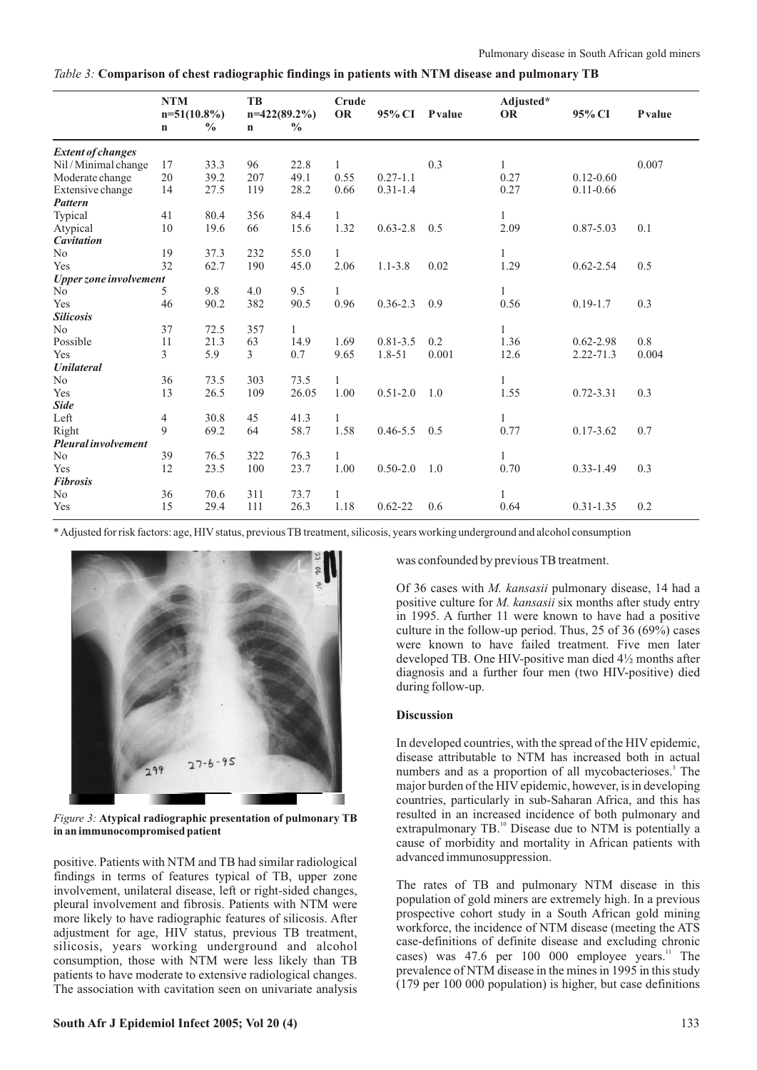| Table 3: Comparison of chest radiographic findings in patients with NTM disease and pulmonary TB |  |
|--------------------------------------------------------------------------------------------------|--|
|--------------------------------------------------------------------------------------------------|--|

|                          | <b>NTM</b><br>$n=51(10.8\%)$ |               | TB<br>$n=422(89.2\%)$ |               | Crude<br><b>OR</b> | 95% CI       | Pvalue | Adjusted*<br><b>OR</b> | 95% CI        | Pvalue |
|--------------------------|------------------------------|---------------|-----------------------|---------------|--------------------|--------------|--------|------------------------|---------------|--------|
|                          | $\mathbf n$                  | $\frac{6}{6}$ | $\mathbf n$           | $\frac{6}{6}$ |                    |              |        |                        |               |        |
| <b>Extent of changes</b> |                              |               |                       |               |                    |              |        |                        |               |        |
| Nil / Minimal change     | 17                           | 33.3          | 96                    | 22.8          | $\mathbf{1}$       |              | 0.3    | $\mathbf{1}$           |               | 0.007  |
| Moderate change          | 20                           | 39.2          | 207                   | 49.1          | 0.55               | $0.27 - 1.1$ |        | 0.27                   | $0.12 - 0.60$ |        |
| Extensive change         | 14                           | 27.5          | 119                   | 28.2          | 0.66               | $0.31 - 1.4$ |        | 0.27                   | $0.11 - 0.66$ |        |
| <b>Pattern</b>           |                              |               |                       |               |                    |              |        |                        |               |        |
| Typical                  | 41                           | 80.4          | 356                   | 84.4          | $\mathbf{1}$       |              |        | $\mathbf{1}$           |               |        |
| Atypical                 | 10                           | 19.6          | 66                    | 15.6          | 1.32               | $0.63 - 2.8$ | 0.5    | 2.09                   | $0.87 - 5.03$ | 0.1    |
| <b>Cavitation</b>        |                              |               |                       |               |                    |              |        |                        |               |        |
| N <sub>o</sub>           | 19                           | 37.3          | 232                   | 55.0          | 1                  |              |        | 1                      |               |        |
| Yes                      | 32                           | 62.7          | 190                   | 45.0          | 2.06               | $1.1 - 3.8$  | 0.02   | 1.29                   | $0.62 - 2.54$ | 0.5    |
| Upper zone involvement   |                              |               |                       |               |                    |              |        |                        |               |        |
| No                       | 5                            | 9.8           | 4.0                   | 9.5           | $\mathbf{1}$       |              |        | $\mathbf{1}$           |               |        |
| Yes                      | 46                           | 90.2          | 382                   | 90.5          | 0.96               | $0.36 - 2.3$ | 0.9    | 0.56                   | $0.19 - 1.7$  | 0.3    |
| <b>Silicosis</b>         |                              |               |                       |               |                    |              |        |                        |               |        |
| N <sub>o</sub>           | 37                           | 72.5          | 357                   | 1             |                    |              |        | 1                      |               |        |
| Possible                 | 11                           | 21.3          | 63                    | 14.9          | 1.69               | $0.81 - 3.5$ | 0.2    | 1.36                   | $0.62 - 2.98$ | 0.8    |
| Yes                      | 3                            | 5.9           | 3                     | 0.7           | 9.65               | 1.8-51       | 0.001  | 12.6                   | $2.22 - 71.3$ | 0.004  |
| <b>Unilateral</b>        |                              |               |                       |               |                    |              |        |                        |               |        |
| N <sub>0</sub>           | 36                           | 73.5          | 303                   | 73.5          | 1                  |              |        | $\mathbf{1}$           |               |        |
| Yes                      | 13                           | 26.5          | 109                   | 26.05         | 1.00               | $0.51 - 2.0$ | 1.0    | 1.55                   | $0.72 - 3.31$ | 0.3    |
| <b>Side</b>              |                              |               |                       |               |                    |              |        |                        |               |        |
| Left                     | 4                            | 30.8          | 45                    | 41.3          | $\mathbf{1}$       |              |        | 1                      |               |        |
| Right                    | 9                            | 69.2          | 64                    | 58.7          | 1.58               | $0.46 - 5.5$ | 0.5    | 0.77                   | $0.17 - 3.62$ | 0.7    |
| Pleural involvement      |                              |               |                       |               |                    |              |        |                        |               |        |
| No                       | 39                           | 76.5          | 322                   | 76.3          | 1                  |              |        |                        |               |        |
| Yes                      | 12                           | 23.5          | 100                   | 23.7          | 1.00               | $0.50 - 2.0$ | 1.0    | 0.70                   | $0.33 - 1.49$ | 0.3    |
| <b>Fibrosis</b>          |                              |               |                       |               |                    |              |        |                        |               |        |
| N <sub>o</sub>           | 36                           | 70.6          | 311                   | 73.7          | 1                  |              |        | 1                      |               |        |
| Yes                      | 15                           | 29.4          | 111                   | 26.3          | 1.18               | $0.62 - 22$  | 0.6    | 0.64                   | $0.31 - 1.35$ | 0.2    |

\* Adjusted for risk factors: age, HIVstatus, previous TB treatment, silicosis, years working underground and alcohol consumption



*Figure 3:* **Atypical radiographic presentation of pulmonary TB in an immunocompromised patient**

positive. Patients with NTM and TB had similar radiological findings in terms of features typical of TB, upper zone involvement, unilateral disease, left or right-sided changes, pleural involvement and fibrosis. Patients with NTM were more likely to have radiographic features of silicosis. After adjustment for age, HIV status, previous TB treatment, silicosis, years working underground and alcohol consumption, those with NTM were less likely than TB patients to have moderate to extensive radiological changes. The association with cavitation seen on univariate analysis was confounded by previous TB treatment.

Of 36 cases with *M. kansasii* pulmonary disease, 14 had a positive culture for *M. kansasii* six months after study entry in 1995. A further 11 were known to have had a positive culture in the follow-up period. Thus, 25 of 36 (69%) cases were known to have failed treatment. Five men later developed TB. One HIV-positive man died 4½ months after diagnosis and a further four men (two HIV-positive) died during follow-up.

### **Discussion**

In developed countries, with the spread of the HIV epidemic, disease attributable to NTM has increased both in actual numbers and as a proportion of all mycobacterioses.<sup>3</sup> The major burden of the HIV epidemic, however, is in developing countries, particularly in sub-Saharan Africa, and this has resulted in an increased incidence of both pulmonary and extrapulmonary  $TB<sup>10</sup>$  Disease due to NTM is potentially a cause of morbidity and mortality in African patients with advanced immunosuppression.

The rates of TB and pulmonary NTM disease in this population of gold miners are extremely high. In a previous prospective cohort study in a South African gold mining workforce, the incidence of NTM disease (meeting the ATS case-definitions of definite disease and excluding chronic cases) was 47.6 per 100 000 employee years.<sup>11</sup> The prevalence of NTM disease in the mines in 1995 in this study (179 per 100 000 population) is higher, but case definitions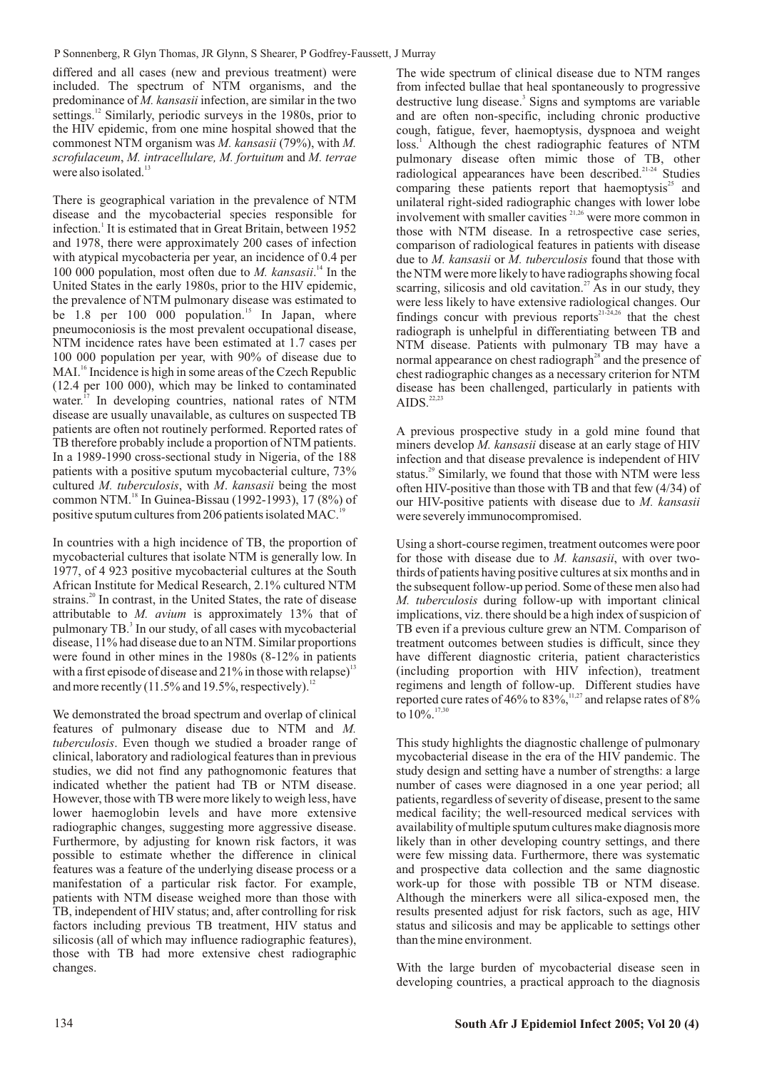differed and all cases (new and previous treatment) were included. The spectrum of NTM organisms, and the predominance of *M. kansasii*infection, are similar in the two settings.<sup>12</sup> Similarly, periodic surveys in the 1980s, prior to the HIV epidemic, from one mine hospital showed that the commonest NTM organism was *M. kansasii* (79%), with *M. scrofulaceum*, *M. intracellulare, M. fortuitum* and *M. terrae*  were also isolated. $13$ 

There is geographical variation in the prevalence of NTM disease and the mycobacterial species responsible for infection.<sup>1</sup> It is estimated that in Great Britain, between 1952 and 1978, there were approximately 200 cases of infection with atypical mycobacteria per year, an incidence of 0.4 per 100 000 population, most often due to *M. kansasii*.<sup>14</sup> In the United States in the early 1980s, prior to the HIV epidemic, the prevalence of NTM pulmonary disease was estimated to be 1.8 per 100 000 population.<sup>15</sup> In Japan, where pneumoconiosis is the most prevalent occupational disease, NTM incidence rates have been estimated at 1.7 cases per 100 000 population per year, with 90% of disease due to MAI.<sup>16</sup> Incidence is high in some areas of the Czech Republic (12.4 per 100 000), which may be linked to contaminated water.<sup>17</sup> In developing countries, national rates of NTM disease are usually unavailable, as cultures on suspected TB patients are often not routinely performed. Reported rates of TB therefore probably include a proportion of NTM patients. In a 1989-1990 cross-sectional study in Nigeria, of the 188 patients with a positive sputum mycobacterial culture, 73% cultured *M. tuberculosis*, with *M*. *kansasii* being the most common NTM.<sup>18</sup> In Guinea-Bissau (1992-1993), 17 (8%) of positive sputum cultures from 206 patients isolated MAC.

In countries with a high incidence of TB, the proportion of mycobacterial cultures that isolate NTM is generally low. In 1977, of 4 923 positive mycobacterial cultures at the South African Institute for Medical Research, 2.1% cultured NTM strains.<sup>20</sup> In contrast, in the United States, the rate of disease attributable to *M. avium* is approximately 13% that of pulmonary TB.<sup>3</sup> In our study, of all cases with mycobacterial disease, 11% had disease due to an NTM. Similar proportions were found in other mines in the 1980s (8-12% in patients with a first episode of disease and  $21\%$  in those with relapse)<sup>13</sup> and more recently  $(11.5\%$  and 19.5%, respectively).

We demonstrated the broad spectrum and overlap of clinical features of pulmonary disease due to NTM and *M. tuberculosis*. Even though we studied a broader range of clinical, laboratory and radiological features than in previous studies, we did not find any pathognomonic features that indicated whether the patient had TB or NTM disease. However, those with TB were more likely to weigh less, have lower haemoglobin levels and have more extensive radiographic changes, suggesting more aggressive disease. Furthermore, by adjusting for known risk factors, it was possible to estimate whether the difference in clinical features was a feature of the underlying disease process or a manifestation of a particular risk factor. For example, patients with NTM disease weighed more than those with TB, independent of HIV status; and, after controlling for risk factors including previous TB treatment, HIV status and silicosis (all of which may influence radiographic features), those with TB had more extensive chest radiographic changes.

The wide spectrum of clinical disease due to NTM ranges from infected bullae that heal spontaneously to progressive destructive lung disease.<sup>3</sup> Signs and symptoms are variable and are often non-specific, including chronic productive cough, fatigue, fever, haemoptysis, dyspnoea and weight loss.<sup>1</sup> Although the chest radiographic features of NTM pulmonary disease often mimic those of TB, other radiological appearances have been described.<sup>21-24</sup> Studies comparing these patients report that haemoptysis<sup>25</sup> and unilateral right-sided radiographic changes with lower lobe involvement with smaller cavities  $2^{1,26}$  were more common in those with NTM disease. In a retrospective case series, comparison of radiological features in patients with disease due to *M. kansasii* or *M. tuberculosis* found that those with the NTM were more likely to have radiographs showing focal scarring, silicosis and old cavitation.<sup>27</sup> As in our study, they were less likely to have extensive radiological changes. Our findings concur with previous reports<sup> $21-24,26$ </sup> that the chest radiograph is unhelpful in differentiating between TB and NTM disease. Patients with pulmonary TB may have a normal appearance on chest radiograph<sup>28</sup> and the presence of chest radiographic changes as a necessary criterion for NTM disease has been challenged, particularly in patients with AIDS. $^{22,23}$ 

A previous prospective study in a gold mine found that miners develop *M. kansasii* disease at an early stage of HIV infection and that disease prevalence is independent of HIV status.<sup>29</sup> Similarly, we found that those with NTM were less often HIV-positive than those with TB and that few (4/34) of our HIV-positive patients with disease due to *M. kansasii* were severely immunocompromised.

Using a short-course regimen, treatment outcomes were poor for those with disease due to *M. kansasii*, with over twothirds of patients having positive cultures at six months and in the subsequent follow-up period. Some of these men also had *M. tuberculosis* during follow-up with important clinical implications, viz. there should be a high index of suspicion of TB even if a previous culture grew an NTM. Comparison of treatment outcomes between studies is difficult, since they have different diagnostic criteria, patient characteristics (including proportion with HIV infection), treatment regimens and length of follow-up. Different studies have reported cure rates of 46% to 83%,  $11,27$  and relapse rates of 8% to  $10\%$ <sup>17,</sup>

This study highlights the diagnostic challenge of pulmonary mycobacterial disease in the era of the HIV pandemic. The study design and setting have a number of strengths: a large number of cases were diagnosed in a one year period; all patients, regardless of severity of disease, present to the same medical facility; the well-resourced medical services with availability of multiple sputum cultures make diagnosis more likely than in other developing country settings, and there were few missing data. Furthermore, there was systematic and prospective data collection and the same diagnostic work-up for those with possible TB or NTM disease. Although the minerkers were all silica-exposed men, the results presented adjust for risk factors, such as age, HIV status and silicosis and may be applicable to settings other than the mine environment.

With the large burden of mycobacterial disease seen in developing countries, a practical approach to the diagnosis